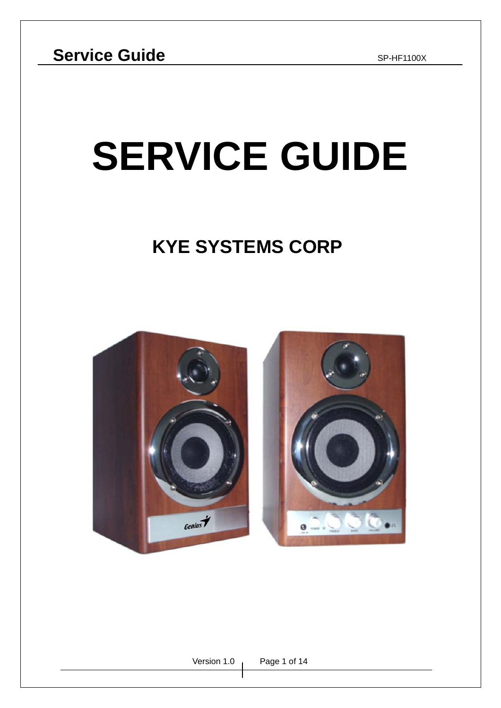# **SERVICE GUIDE**

## **KYE SYSTEMS CORP**

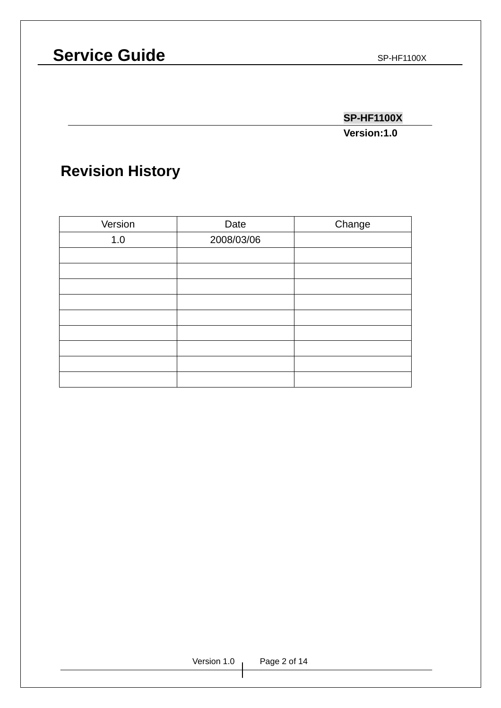### **SP-HF1100X**

**Version:1.0**

### **Revision History**

| Version | Date       | Change |
|---------|------------|--------|
| 1.0     | 2008/03/06 |        |
|         |            |        |
|         |            |        |
|         |            |        |
|         |            |        |
|         |            |        |
|         |            |        |
|         |            |        |
|         |            |        |
|         |            |        |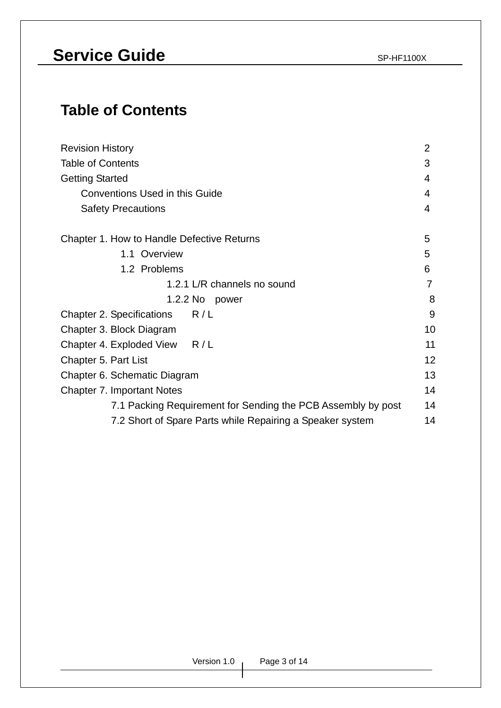### **Table of Contents**

| <b>Revision History</b>                                      |    |  |  |  |
|--------------------------------------------------------------|----|--|--|--|
| <b>Table of Contents</b>                                     |    |  |  |  |
| <b>Getting Started</b>                                       |    |  |  |  |
| <b>Conventions Used in this Guide</b>                        | 4  |  |  |  |
| <b>Safety Precautions</b>                                    | 4  |  |  |  |
| Chapter 1. How to Handle Defective Returns                   | 5  |  |  |  |
| 1.1 Overview                                                 | 5  |  |  |  |
| 1.2 Problems                                                 | 6  |  |  |  |
| 1.2.1 L/R channels no sound                                  | 7  |  |  |  |
| 1.2.2 No<br>power                                            | 8  |  |  |  |
| R/L<br><b>Chapter 2. Specifications</b>                      | 9  |  |  |  |
| Chapter 3. Block Diagram                                     | 10 |  |  |  |
| Chapter 4. Exploded View R/L                                 | 11 |  |  |  |
| Chapter 5. Part List                                         | 12 |  |  |  |
| Chapter 6. Schematic Diagram                                 | 13 |  |  |  |
| <b>Chapter 7. Important Notes</b>                            | 14 |  |  |  |
| 7.1 Packing Requirement for Sending the PCB Assembly by post | 14 |  |  |  |
| 7.2 Short of Spare Parts while Repairing a Speaker system    | 14 |  |  |  |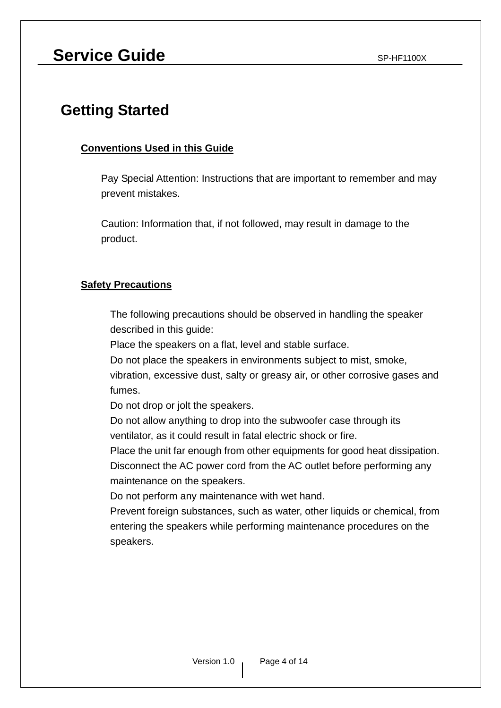### **Service Guide** SP-HF1100X

### **Getting Started**

#### **Conventions Used in this Guide**

Pay Special Attention: Instructions that are important to remember and may prevent mistakes.

Caution: Information that, if not followed, may result in damage to the product.

#### **Safety Precautions**

 The following precautions should be observed in handling the speaker described in this guide:

Place the speakers on a flat, level and stable surface.

Do not place the speakers in environments subject to mist, smoke,

vibration, excessive dust, salty or greasy air, or other corrosive gases and fumes.

Do not drop or jolt the speakers.

 Do not allow anything to drop into the subwoofer case through its ventilator, as it could result in fatal electric shock or fire.

 Place the unit far enough from other equipments for good heat dissipation. Disconnect the AC power cord from the AC outlet before performing any maintenance on the speakers.

Do not perform any maintenance with wet hand.

 Prevent foreign substances, such as water, other liquids or chemical, from entering the speakers while performing maintenance procedures on the speakers.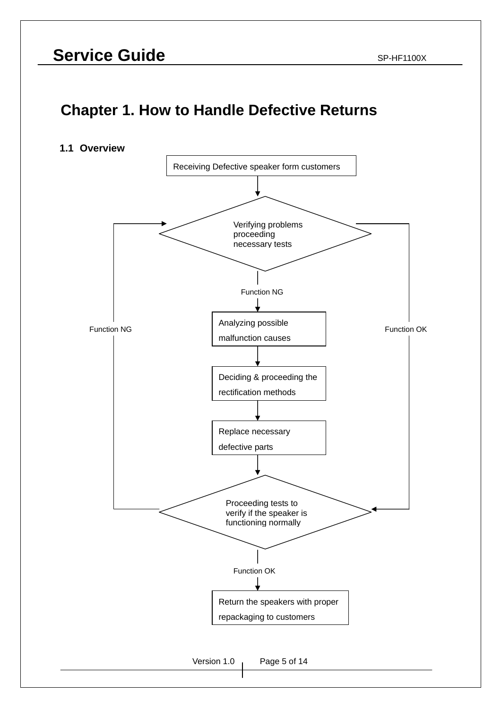### **Chapter 1. How to Handle Defective Returns**

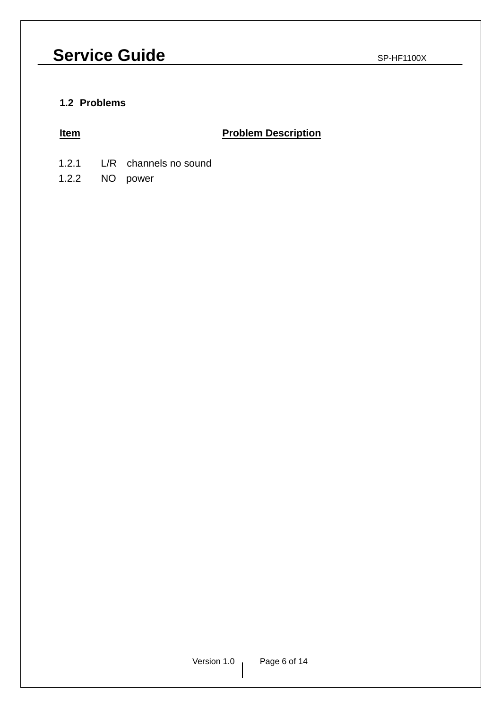#### **1.2 Problems**

#### **Item International Problem Description**

- 1.2.1 L/R channels no sound
- 1.2.2 NO power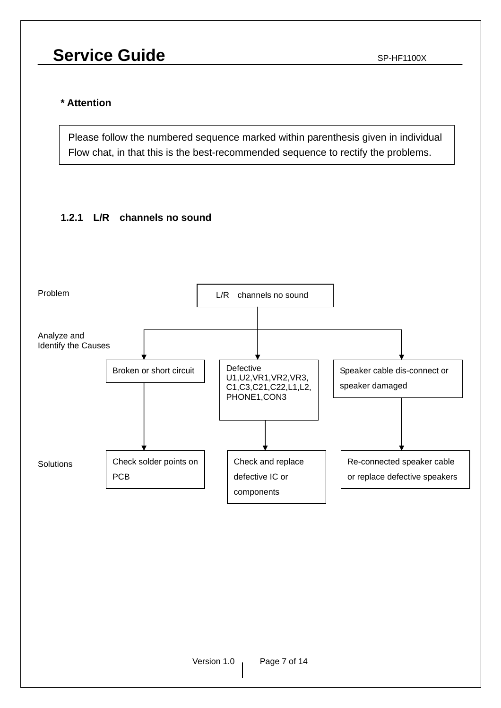### **Service Guide** SP-HF1100X

#### **\* Attention**

Please follow the numbered sequence marked within parenthesis given in individual Flow chat, in that this is the best-recommended sequence to rectify the problems.

### **1.2.1 L/R channels no sound**

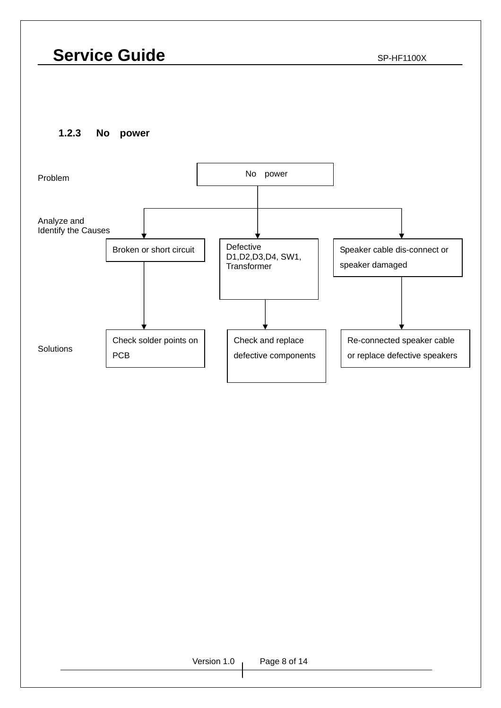**1.2.3 No power** 



#### Version 1.0 Page 8 of 14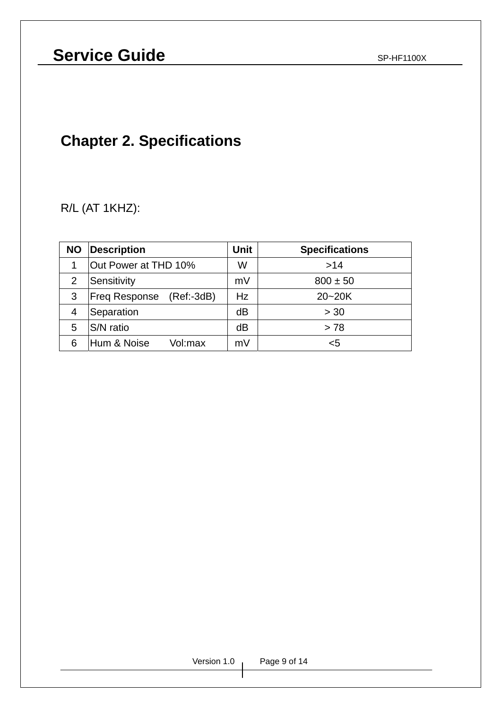### **Chapter 2. Specifications**

R/L (AT 1KHZ):

| <b>NO</b> | Description                           |    | <b>Specifications</b> |  |  |
|-----------|---------------------------------------|----|-----------------------|--|--|
|           | Out Power at THD 10%                  | W  | >14                   |  |  |
| 2         | Sensitivity                           | mV | $800 \pm 50$          |  |  |
| 3         | $(Ref: -3dB)$<br><b>Freq Response</b> | Hz | $20 - 20K$            |  |  |
| 4         | Separation                            | dB | > 30                  |  |  |
| 5         | <b>S/N</b> ratio                      | dB | > 78                  |  |  |
|           | Hum & Noise<br>Vol:max                | mV | <5                    |  |  |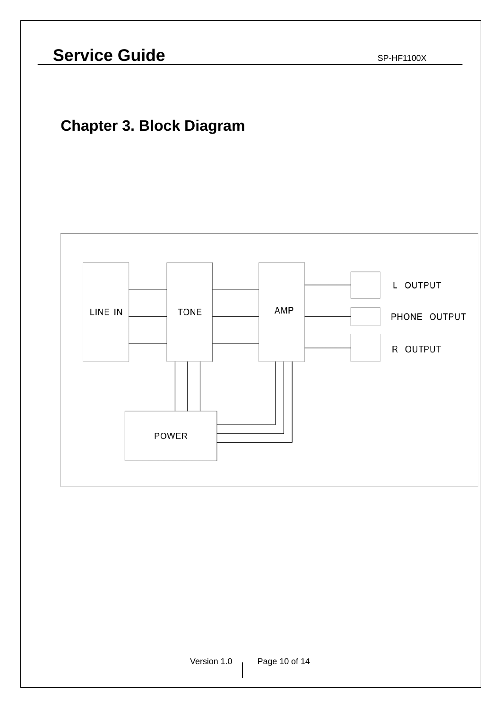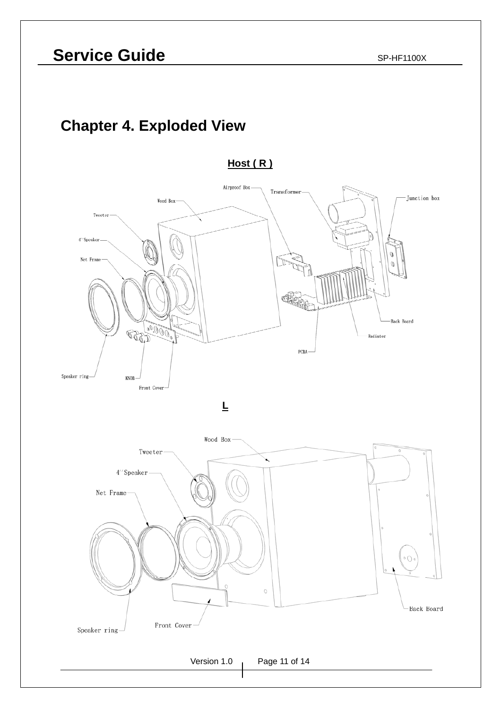### **Chapter 4. Exploded View**

**Host ( R )**





Version 1.0 Page 11 of 14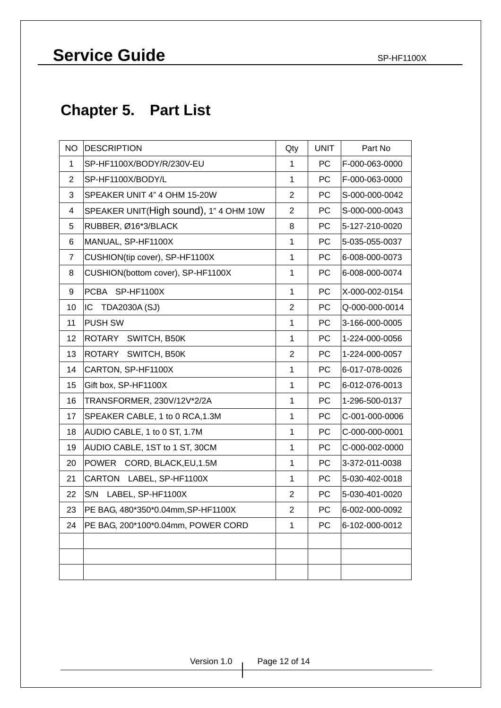### **Chapter 5. Part List**

| <b>NO</b>      | DESCRIPTION                            |                | <b>UNIT</b> | Part No        |
|----------------|----------------------------------------|----------------|-------------|----------------|
| 1              | SP-HF1100X/BODY/R/230V-EU              |                | <b>PC</b>   | F-000-063-0000 |
| $\overline{2}$ | SP-HF1100X/BODY/L                      |                | PC          | F-000-063-0000 |
| 3              | SPEAKER UNIT 4" 4 OHM 15-20W           |                | PC          | S-000-000-0042 |
| 4              | SPEAKER UNIT(High sound), 1" 4 OHM 10W |                | PC          | S-000-000-0043 |
| 5              | RUBBER, Ø16*3/BLACK                    |                | PC          | 5-127-210-0020 |
| 6              | MANUAL, SP-HF1100X                     |                | РC          | 5-035-055-0037 |
| $\overline{7}$ | CUSHION(tip cover), SP-HF1100X         |                | PC          | 6-008-000-0073 |
| 8              | CUSHION(bottom cover), SP-HF1100X      | $\overline{1}$ | PC          | 6-008-000-0074 |
| 9              | PCBA SP-HF1100X                        | $\mathbf{1}$   | PC          | X-000-002-0154 |
| 10             | IC<br><b>TDA2030A (SJ)</b>             | $\overline{2}$ | PC          | Q-000-000-0014 |
| 11             | <b>PUSH SW</b>                         | 1              | PC          | 3-166-000-0005 |
| 12             | ROTARY SWITCH, B50K                    | 1              | PC          | 1-224-000-0056 |
| 13             | <b>ROTARY</b><br>SWITCH, B50K          | $\overline{2}$ | PC          | 1-224-000-0057 |
| 14             | CARTON, SP-HF1100X                     | $\mathbf 1$    | ${\sf PC}$  | 6-017-078-0026 |
| 15             | Gift box, SP-HF1100X                   | $\mathbf{1}$   | PC          | 6-012-076-0013 |
| 16             | TRANSFORMER, 230V/12V*2/2A             | $\mathbf 1$    | PC          | 1-296-500-0137 |
| 17             | SPEAKER CABLE, 1 to 0 RCA, 1.3M        | 1              | PC          | C-001-000-0006 |
| 18             | AUDIO CABLE, 1 to 0 ST, 1.7M           | $\mathbf{1}$   | PC          | C-000-000-0001 |
| 19             | AUDIO CABLE, 1ST to 1 ST, 30CM         | $\mathbf 1$    | PC          | C-000-002-0000 |
| 20             | POWER CORD, BLACK, EU, 1.5M            | $\overline{1}$ | PC          | 3-372-011-0038 |
| 21             | CARTON LABEL, SP-HF1100X               | $\mathbf{1}$   | PC          | 5-030-402-0018 |
| 22             | S/N<br>LABEL, SP-HF1100X               | $\overline{c}$ | PС          | 5-030-401-0020 |
| 23             | PE BAG, 480*350*0.04mm, SP-HF1100X     | $\overline{2}$ | PC          | 6-002-000-0092 |
| 24             | PE BAG, 200*100*0.04mm, POWER CORD     | $\mathbf{1}$   | PC          | 6-102-000-0012 |
|                |                                        |                |             |                |
|                |                                        |                |             |                |
|                |                                        |                |             |                |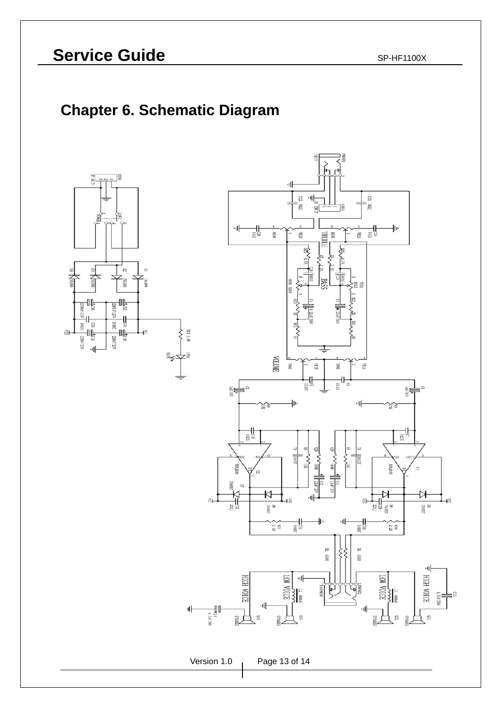### **Chapter 6. Schematic Diagram**